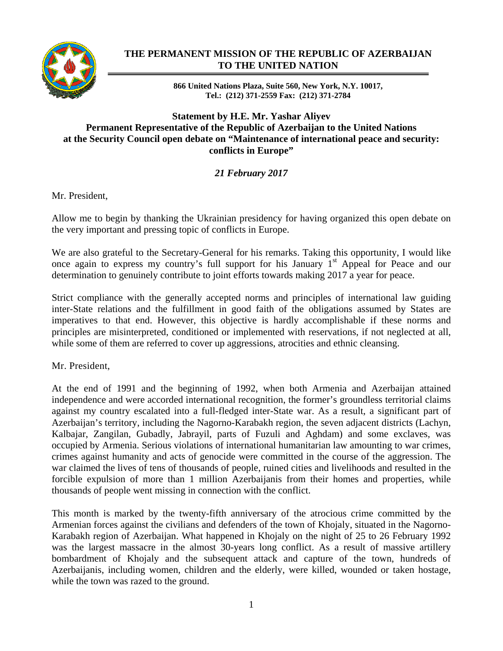

## **THE PERMANENT MISSION OF THE REPUBLIC OF AZERBAIJAN TO THE UNITED NATION**

**866 United Nations Plaza, Suite 560, New York, N.Y. 10017, Tel.: (212) 371-2559 Fax: (212) 371-2784** 

## **Statement by H.E. Mr. Yashar Aliyev Permanent Representative of the Republic of Azerbaijan to the United Nations at the Security Council open debate on "Maintenance of international peace and security: conflicts in Europe"**

## *21 February 2017*

Mr. President,

Allow me to begin by thanking the Ukrainian presidency for having organized this open debate on the very important and pressing topic of conflicts in Europe.

We are also grateful to the Secretary-General for his remarks. Taking this opportunity, I would like once again to express my country's full support for his January  $1<sup>st</sup>$  Appeal for Peace and our determination to genuinely contribute to joint efforts towards making 2017 a year for peace.

Strict compliance with the generally accepted norms and principles of international law guiding inter-State relations and the fulfillment in good faith of the obligations assumed by States are imperatives to that end. However, this objective is hardly accomplishable if these norms and principles are misinterpreted, conditioned or implemented with reservations, if not neglected at all, while some of them are referred to cover up aggressions, atrocities and ethnic cleansing.

Mr. President,

At the end of 1991 and the beginning of 1992, when both Armenia and Azerbaijan attained independence and were accorded international recognition, the former's groundless territorial claims against my country escalated into a full-fledged inter-State war. As a result, a significant part of Azerbaijan's territory, including the Nagorno-Karabakh region, the seven adjacent districts (Lachyn, Kalbajar, Zangilan, Gubadly, Jabrayil, parts of Fuzuli and Aghdam) and some exclaves, was occupied by Armenia. Serious violations of international humanitarian law amounting to war crimes, crimes against humanity and acts of genocide were committed in the course of the aggression. The war claimed the lives of tens of thousands of people, ruined cities and livelihoods and resulted in the forcible expulsion of more than 1 million Azerbaijanis from their homes and properties, while thousands of people went missing in connection with the conflict.

This month is marked by the twenty-fifth anniversary of the atrocious crime committed by the Armenian forces against the civilians and defenders of the town of Khojaly, situated in the Nagorno-Karabakh region of Azerbaijan. What happened in Khojaly on the night of 25 to 26 February 1992 was the largest massacre in the almost 30-years long conflict. As a result of massive artillery bombardment of Khojaly and the subsequent attack and capture of the town, hundreds of Azerbaijanis, including women, children and the elderly, were killed, wounded or taken hostage, while the town was razed to the ground.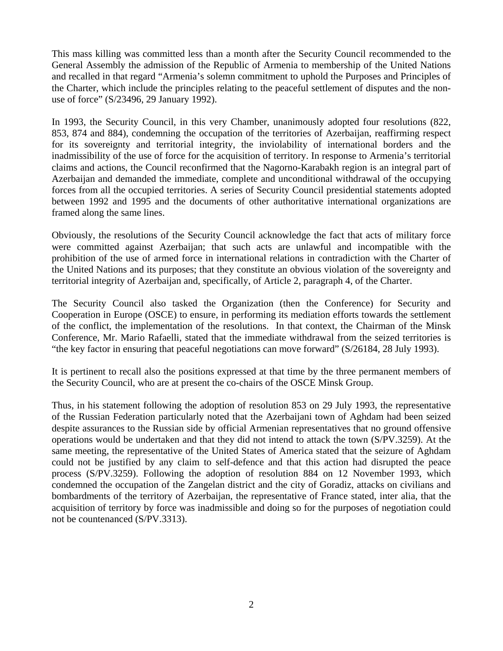This mass killing was committed less than a month after the Security Council recommended to the General Assembly the admission of the Republic of Armenia to membership of the United Nations and recalled in that regard "Armenia's solemn commitment to uphold the Purposes and Principles of the Charter, which include the principles relating to the peaceful settlement of disputes and the nonuse of force" (S/23496, 29 January 1992).

In 1993, the Security Council, in this very Chamber, unanimously adopted four resolutions (822, 853, 874 and 884), condemning the occupation of the territories of Azerbaijan, reaffirming respect for its sovereignty and territorial integrity, the inviolability of international borders and the inadmissibility of the use of force for the acquisition of territory. In response to Armenia's territorial claims and actions, the Council reconfirmed that the Nagorno-Karabakh region is an integral part of Azerbaijan and demanded the immediate, complete and unconditional withdrawal of the occupying forces from all the occupied territories. A series of Security Council presidential statements adopted between 1992 and 1995 and the documents of other authoritative international organizations are framed along the same lines.

Obviously, the resolutions of the Security Council acknowledge the fact that acts of military force were committed against Azerbaijan; that such acts are unlawful and incompatible with the prohibition of the use of armed force in international relations in contradiction with the Charter of the United Nations and its purposes; that they constitute an obvious violation of the sovereignty and territorial integrity of Azerbaijan and, specifically, of Article 2, paragraph 4, of the Charter.

The Security Council also tasked the Organization (then the Conference) for Security and Cooperation in Europe (OSCE) to ensure, in performing its mediation efforts towards the settlement of the conflict, the implementation of the resolutions. In that context, the Chairman of the Minsk Conference, Mr. Mario Rafaelli, stated that the immediate withdrawal from the seized territories is "the key factor in ensuring that peaceful negotiations can move forward" (S/26184, 28 July 1993).

It is pertinent to recall also the positions expressed at that time by the three permanent members of the Security Council, who are at present the co-chairs of the OSCE Minsk Group.

Thus, in his statement following the adoption of resolution 853 on 29 July 1993, the representative of the Russian Federation particularly noted that the Azerbaijani town of Aghdam had been seized despite assurances to the Russian side by official Armenian representatives that no ground offensive operations would be undertaken and that they did not intend to attack the town (S/PV.3259). At the same meeting, the representative of the United States of America stated that the seizure of Aghdam could not be justified by any claim to self-defence and that this action had disrupted the peace process (S/PV.3259). Following the adoption of resolution 884 on 12 November 1993, which condemned the occupation of the Zangelan district and the city of Goradiz, attacks on civilians and bombardments of the territory of Azerbaijan, the representative of France stated, inter alia, that the acquisition of territory by force was inadmissible and doing so for the purposes of negotiation could not be countenanced (S/PV.3313).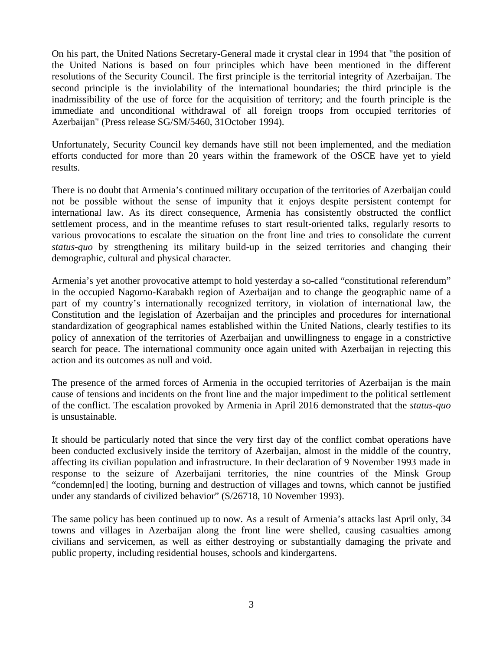On his part, the United Nations Secretary-General made it crystal clear in 1994 that "the position of the United Nations is based on four principles which have been mentioned in the different resolutions of the Security Council. The first principle is the territorial integrity of Azerbaijan. The second principle is the inviolability of the international boundaries; the third principle is the inadmissibility of the use of force for the acquisition of territory; and the fourth principle is the immediate and unconditional withdrawal of all foreign troops from occupied territories of Azerbaijan" (Press release SG/SM/5460, 31October 1994).

Unfortunately, Security Council key demands have still not been implemented, and the mediation efforts conducted for more than 20 years within the framework of the OSCE have yet to yield results.

There is no doubt that Armenia's continued military occupation of the territories of Azerbaijan could not be possible without the sense of impunity that it enjoys despite persistent contempt for international law. As its direct consequence, Armenia has consistently obstructed the conflict settlement process, and in the meantime refuses to start result-oriented talks, regularly resorts to various provocations to escalate the situation on the front line and tries to consolidate the current *status-quo* by strengthening its military build-up in the seized territories and changing their demographic, cultural and physical character.

Armenia's yet another provocative attempt to hold yesterday a so-called "constitutional referendum" in the occupied Nagorno-Karabakh region of Azerbaijan and to change the geographic name of a part of my country's internationally recognized territory, in violation of international law, the Constitution and the legislation of Azerbaijan and the principles and procedures for international standardization of geographical names established within the United Nations, clearly testifies to its policy of annexation of the territories of Azerbaijan and unwillingness to engage in a constrictive search for peace. The international community once again united with Azerbaijan in rejecting this action and its outcomes as null and void.

The presence of the armed forces of Armenia in the occupied territories of Azerbaijan is the main cause of tensions and incidents on the front line and the major impediment to the political settlement of the conflict. The escalation provoked by Armenia in April 2016 demonstrated that the *status-quo* is unsustainable.

It should be particularly noted that since the very first day of the conflict combat operations have been conducted exclusively inside the territory of Azerbaijan, almost in the middle of the country, affecting its civilian population and infrastructure. In their declaration of 9 November 1993 made in response to the seizure of Azerbaijani territories, the nine countries of the Minsk Group "condemn[ed] the looting, burning and destruction of villages and towns, which cannot be justified under any standards of civilized behavior" (S/26718, 10 November 1993).

The same policy has been continued up to now. As a result of Armenia's attacks last April only, 34 towns and villages in Azerbaijan along the front line were shelled, causing casualties among civilians and servicemen, as well as either destroying or substantially damaging the private and public property, including residential houses, schools and kindergartens.